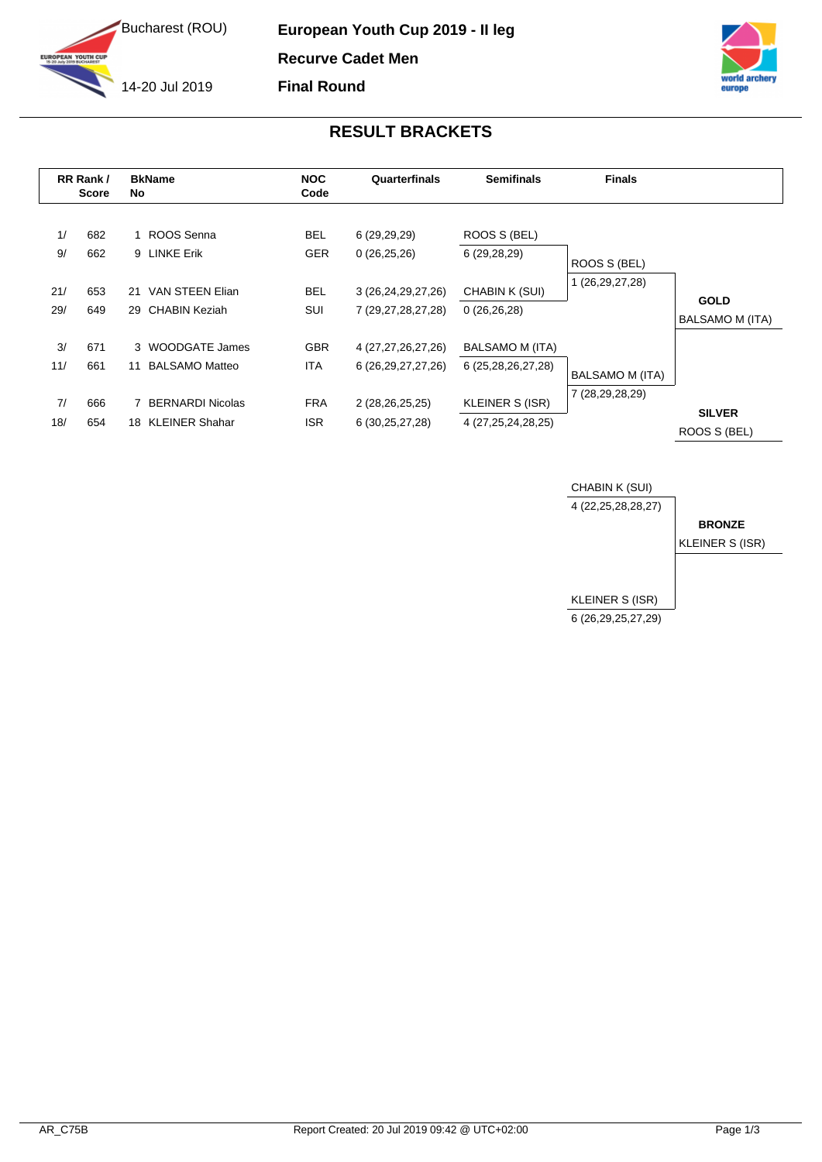

**YOUTH CUP** 

**European Youth Cup 2019 - II leg Recurve Cadet Men**

**Final Round**

14-20 Jul 2019



## **RESULT BRACKETS**

| RR Rank/<br><b>Score</b> |            | <b>BkName</b><br>No.                                   | <b>NOC</b><br>Code       | Quarterfinals                                | <b>Semifinals</b>                         | <b>Finals</b>   |                                |
|--------------------------|------------|--------------------------------------------------------|--------------------------|----------------------------------------------|-------------------------------------------|-----------------|--------------------------------|
| 1/<br>9/                 | 682<br>662 | ROOS Senna<br>9 LINKE Erik                             | <b>BEL</b><br><b>GER</b> | 6(29,29,29)<br>0(26,25,26)                   | ROOS S (BEL)<br>6(29, 28, 29)             | ROOS S (BEL)    |                                |
| 21/<br>29/               | 653<br>649 | VAN STEEN Elian<br>21<br>CHABIN Keziah<br>29           | <b>BEL</b><br>SUI        | 3 (26, 24, 29, 27, 26)<br>7 (29,27,28,27,28) | CHABIN K (SUI)<br>0(26,26,28)             | 1 (26,29,27,28) | <b>GOLD</b><br>BALSAMO M (ITA) |
| 3/<br>11/                | 671<br>661 | 3 WOODGATE James<br><b>BALSAMO Matteo</b><br>11        | <b>GBR</b><br><b>ITA</b> | 4 (27,27,26,27,26)<br>6 (26, 29, 27, 27, 26) | BALSAMO M (ITA)<br>6 (25, 28, 26, 27, 28) | BALSAMO M (ITA) |                                |
| 7/<br>18/                | 666<br>654 | <b>BERNARDI Nicolas</b><br><b>KLEINER Shahar</b><br>18 | <b>FRA</b><br><b>ISR</b> | 2 (28,26,25,25)<br>6 (30, 25, 27, 28)        | KLEINER S (ISR)<br>4 (27, 25, 24, 28, 25) | 7 (28,29,28,29) | <b>SILVER</b><br>ROOS S (BEL)  |

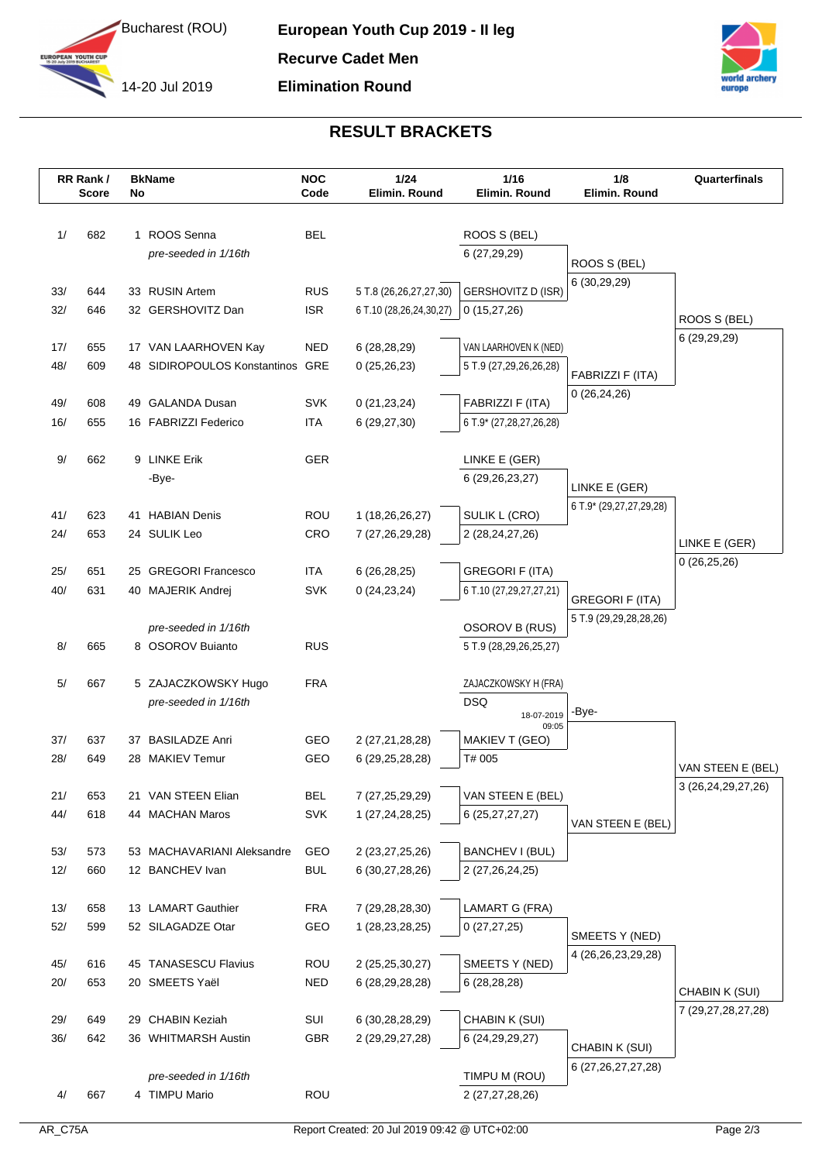



## **RESULT BRACKETS**

|            | RR Rank/<br><b>Score</b> | No | <b>BkName</b>                           | <b>NOC</b><br>Code       | 1/24<br>Elimin. Round                             | $1/16$<br>Elimin. Round                  | 1/8<br>Elimin. Round                             | Quarterfinals      |
|------------|--------------------------|----|-----------------------------------------|--------------------------|---------------------------------------------------|------------------------------------------|--------------------------------------------------|--------------------|
|            |                          |    |                                         |                          |                                                   |                                          |                                                  |                    |
| 1/         | 682                      |    | 1 ROOS Senna                            | <b>BEL</b>               |                                                   | ROOS S (BEL)                             |                                                  |                    |
|            |                          |    | pre-seeded in 1/16th                    |                          |                                                   | 6 (27,29,29)                             | ROOS S (BEL)                                     |                    |
|            |                          |    |                                         |                          |                                                   |                                          | 6 (30,29,29)                                     |                    |
| 33/<br>32/ | 644<br>646               |    | 33 RUSIN Artem<br>32 GERSHOVITZ Dan     | <b>RUS</b><br><b>ISR</b> | 5 T.8 (26,26,27,27,30)<br>6 T.10 (28,26,24,30,27) | <b>GERSHOVITZ D (ISR)</b><br>0(15,27,26) |                                                  |                    |
|            |                          |    |                                         |                          |                                                   |                                          |                                                  | ROOS S (BEL)       |
| 17/        | 655                      |    | 17 VAN LAARHOVEN Kay                    | <b>NED</b>               | 6 (28,28,29)                                      | VAN LAARHOVEN K (NED)                    |                                                  | 6 (29,29,29)       |
| 48/        | 609                      |    | 48 SIDIROPOULOS Konstantinos GRE        |                          | 0(25,26,23)                                       | 5 T.9 (27,29,26,26,28)                   | FABRIZZI F (ITA)                                 |                    |
|            |                          |    |                                         |                          |                                                   |                                          | 0(26, 24, 26)                                    |                    |
| 49/        | 608                      |    | 49 GALANDA Dusan                        | <b>SVK</b>               | 0(21, 23, 24)                                     | FABRIZZI F (ITA)                         |                                                  |                    |
| 16/        | 655                      |    | 16 FABRIZZI Federico                    | <b>ITA</b>               | 6(29, 27, 30)                                     | 6 T.9* (27,28,27,26,28)                  |                                                  |                    |
| 9/         | 662                      |    | 9 LINKE Erik                            | GER                      |                                                   | LINKE E (GER)                            |                                                  |                    |
|            |                          |    | -Bye-                                   |                          |                                                   | 6 (29, 26, 23, 27)                       | LINKE E (GER)                                    |                    |
|            |                          |    |                                         |                          |                                                   |                                          | 6 T.9* (29,27,27,29,28)                          |                    |
| 41/        | 623                      |    | 41 HABIAN Denis                         | ROU                      | 1 (18,26,26,27)                                   | SULIK L (CRO)                            |                                                  |                    |
| 24/        | 653                      |    | 24 SULIK Leo                            | CRO                      | 7 (27,26,29,28)                                   | 2 (28,24,27,26)                          |                                                  | LINKE E (GER)      |
| 25/        | 651                      |    | 25 GREGORI Francesco                    | <b>ITA</b>               | 6(26, 28, 25)                                     | <b>GREGORI F (ITA)</b>                   |                                                  | 0(26, 25, 26)      |
| 40/        | 631                      |    | 40 MAJERIK Andrej                       | <b>SVK</b>               | 0(24, 23, 24)                                     | 6 T.10 (27,29,27,27,21)                  |                                                  |                    |
|            |                          |    |                                         |                          |                                                   |                                          | <b>GREGORI F (ITA)</b><br>5 T.9 (29,29,28,28,26) |                    |
|            |                          |    | pre-seeded in 1/16th                    |                          |                                                   | OSOROV B (RUS)                           |                                                  |                    |
| 8/         | 665                      |    | 8 OSOROV Buianto                        | <b>RUS</b>               |                                                   | 5 T.9 (28,29,26,25,27)                   |                                                  |                    |
| 5/         | 667                      |    | 5 ZAJACZKOWSKY Hugo                     | <b>FRA</b>               |                                                   | ZAJACZKOWSKY H (FRA)                     |                                                  |                    |
|            |                          |    | pre-seeded in 1/16th                    |                          |                                                   | <b>DSQ</b>                               |                                                  |                    |
|            |                          |    |                                         |                          |                                                   | 18-07-2019<br>09:05                      | -Bye-                                            |                    |
| 37/        | 637                      |    | 37 BASILADZE Anri                       | GEO                      | 2 (27,21,28,28)                                   | MAKIEV T (GEO)                           |                                                  |                    |
| 28/        | 649                      |    | 28 MAKIEV Temur                         | GEO                      | 6 (29, 25, 28, 28)                                | T# 005                                   |                                                  | VAN STEEN E (BEL)  |
| 21/        | 653                      |    | 21 VAN STEEN Elian                      | <b>BEL</b>               | 7 (27, 25, 29, 29)                                | VAN STEEN E (BEL)                        |                                                  | 3 (26,24,29,27,26) |
| 44/        | 618                      |    | 44 MACHAN Maros                         | SVK                      | 1 (27, 24, 28, 25)                                | 6 (25,27,27,27)                          |                                                  |                    |
|            |                          |    |                                         |                          |                                                   |                                          | VAN STEEN E (BEL)                                |                    |
| 53/        | 573                      |    | 53 MACHAVARIANI Aleksandre              | GEO                      | 2 (23, 27, 25, 26)                                | BANCHEV I (BUL)                          |                                                  |                    |
| 12/        | 660                      |    | 12 BANCHEV Ivan                         | <b>BUL</b>               | 6 (30,27,28,26)                                   | 2 (27,26,24,25)                          |                                                  |                    |
| 13/        | 658                      |    | 13 LAMART Gauthier                      | <b>FRA</b>               | 7 (29, 28, 28, 30)                                | LAMART G (FRA)                           |                                                  |                    |
| 52/        | 599                      |    | 52 SILAGADZE Otar                       | GEO                      | 1 (28, 23, 28, 25)                                | 0(27, 27, 25)                            |                                                  |                    |
|            |                          |    |                                         |                          |                                                   |                                          | SMEETS Y (NED)                                   |                    |
| 45/        | 616                      |    | 45 TANASESCU Flavius                    | ROU                      | 2 (25,25,30,27)                                   | SMEETS Y (NED)                           | 4 (26, 26, 23, 29, 28)                           |                    |
| 20/        | 653                      |    | 20 SMEETS Yaël                          | <b>NED</b>               | 6 (28, 29, 28, 28)                                | 6(28, 28, 28)                            |                                                  | CHABIN K (SUI)     |
|            |                          |    |                                         |                          |                                                   |                                          |                                                  | 7 (29,27,28,27,28) |
| 29/<br>36/ | 649<br>642               |    | 29 CHABIN Keziah<br>36 WHITMARSH Austin | SUI<br>GBR               | 6 (30,28,28,29)<br>2 (29, 29, 27, 28)             | CHABIN K (SUI)<br>6 (24, 29, 29, 27)     |                                                  |                    |
|            |                          |    |                                         |                          |                                                   |                                          | CHABIN K (SUI)                                   |                    |
|            |                          |    | pre-seeded in 1/16th                    |                          |                                                   | TIMPU M (ROU)                            | 6 (27, 26, 27, 27, 28)                           |                    |
| 4/         | 667                      |    | 4 TIMPU Mario                           | ROU                      |                                                   | 2 (27,27,28,26)                          |                                                  |                    |